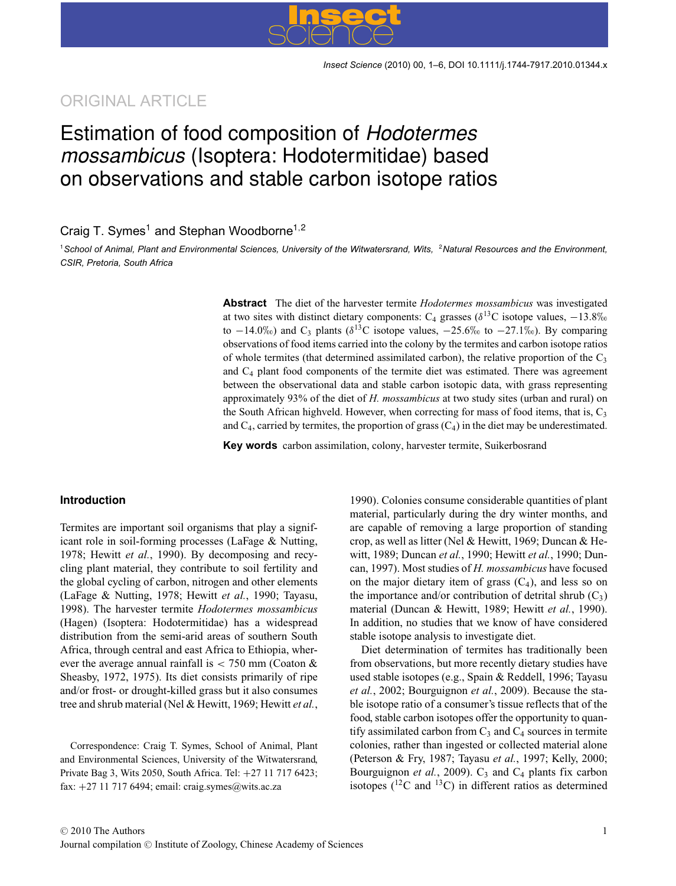## ORIGINAL ARTICLE

# Estimation of food composition of Hodotermes mossambicus (Isoptera: Hodotermitidae) based on observations and stable carbon isotope ratios

### Craig T. Symes<sup>1</sup> and Stephan Woodborne<sup>1,2</sup>

<sup>1</sup>*School of Animal, Plant and Environmental Sciences, University of the Witwatersrand, Wits,* <sup>2</sup>*Natural Resources and the Environment, CSIR, Pretoria, South Africa*

> **Abstract** The diet of the harvester termite *Hodotermes mossambicus* was investigated at two sites with distinct dietary components: C<sub>4</sub> grasses ( $\delta^{13}$ C isotope values, −13.8‰ to  $-14.0\%$  and C<sub>3</sub> plants ( $\delta^{13}$ C isotope values,  $-25.6\%$  to  $-27.1\%$ ). By comparing observations of food items carried into the colony by the termites and carbon isotope ratios of whole termites (that determined assimilated carbon), the relative proportion of the  $C_3$ and  $C_4$  plant food components of the termite diet was estimated. There was agreement between the observational data and stable carbon isotopic data, with grass representing approximately 93% of the diet of *H. mossambicus* at two study sites (urban and rural) on the South African highveld. However, when correcting for mass of food items, that is,  $C_3$ and  $C_4$ , carried by termites, the proportion of grass  $(C_4)$  in the diet may be underestimated.

**Key words** carbon assimilation, colony, harvester termite, Suikerbosrand

#### **Introduction**

Termites are important soil organisms that play a significant role in soil-forming processes (LaFage & Nutting, 1978; Hewitt *et al.*, 1990). By decomposing and recycling plant material, they contribute to soil fertility and the global cycling of carbon, nitrogen and other elements (LaFage & Nutting, 1978; Hewitt *et al.*, 1990; Tayasu, 1998). The harvester termite *Hodotermes mossambicus* (Hagen) (Isoptera: Hodotermitidae) has a widespread distribution from the semi-arid areas of southern South Africa, through central and east Africa to Ethiopia, wherever the average annual rainfall is  $<$  750 mm (Coaton & Sheasby, 1972, 1975). Its diet consists primarily of ripe and/or frost- or drought-killed grass but it also consumes tree and shrub material (Nel & Hewitt, 1969; Hewitt *et al.*,

Correspondence: Craig T. Symes, School of Animal, Plant and Environmental Sciences, University of the Witwatersrand, Private Bag 3, Wits 2050, South Africa. Tel: +27 11 717 6423; fax: +27 11 717 6494; email: craig.symes@wits.ac.za

1990). Colonies consume considerable quantities of plant material, particularly during the dry winter months, and are capable of removing a large proportion of standing crop, as well as litter (Nel & Hewitt, 1969; Duncan & Hewitt, 1989; Duncan *et al.*, 1990; Hewitt *et al.*, 1990; Duncan, 1997). Most studies of *H. mossambicus* have focused on the major dietary item of grass  $(C_4)$ , and less so on the importance and/or contribution of detrital shrub  $(C_3)$ material (Duncan & Hewitt, 1989; Hewitt *et al.*, 1990). In addition, no studies that we know of have considered stable isotope analysis to investigate diet.

Diet determination of termites has traditionally been from observations, but more recently dietary studies have used stable isotopes (e.g., Spain & Reddell, 1996; Tayasu *et al.*, 2002; Bourguignon *et al.*, 2009). Because the stable isotope ratio of a consumer's tissue reflects that of the food, stable carbon isotopes offer the opportunity to quantify assimilated carbon from  $C_3$  and  $C_4$  sources in termite colonies, rather than ingested or collected material alone (Peterson & Fry, 1987; Tayasu *et al.*, 1997; Kelly, 2000; Bourguignon *et al.*, 2009).  $C_3$  and  $C_4$  plants fix carbon isotopes ( $^{12}$ C and  $^{13}$ C) in different ratios as determined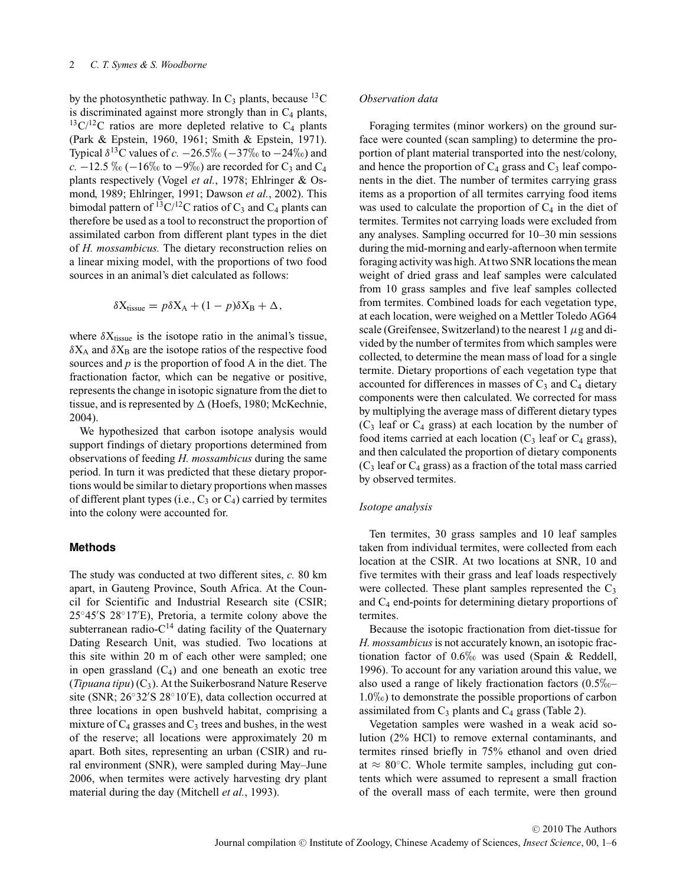by the photosynthetic pathway. In  $C_3$  plants, because <sup>13</sup>C is discriminated against more strongly than in  $C_4$  plants,  $13\text{C}/12\text{C}$  ratios are more depleted relative to C<sub>4</sub> plants (Park & Epstein, 1960, 1961; Smith & Epstein, 1971). Typical  $\delta^{13}$ C values of *c.*  $-26.5\%$  ( $-37\%$  to  $-24\%$ ) and  $c. -12.5\% \cdot (-16\% \cdot \text{to } -9\%)$  are recorded for C<sub>3</sub> and C<sub>4</sub> plants respectively (Vogel *et al.*, 1978; Ehlringer & Osmond, 1989; Ehlringer, 1991; Dawson *et al.*, 2002). This bimodal pattern of  $^{13}$ C/<sup>12</sup>C ratios of C<sub>3</sub> and C<sub>4</sub> plants can therefore be used as a tool to reconstruct the proportion of assimilated carbon from different plant types in the diet of *H. mossambicus.* The dietary reconstruction relies on a linear mixing model, with the proportions of two food sources in an animal's diet calculated as follows:

$$
\delta X_{\text{tissue}} = p \delta X_A + (1 - p) \delta X_B + \Delta,
$$

where  $\delta X_{tissue}$  is the isotope ratio in the animal's tissue,  $\delta X_A$  and  $\delta X_B$  are the isotope ratios of the respective food sources and *p* is the proportion of food A in the diet. The fractionation factor, which can be negative or positive, represents the change in isotopic signature from the diet to tissue, and is represented by  $\Delta$  (Hoefs, 1980; McKechnie, 2004).

We hypothesized that carbon isotope analysis would support findings of dietary proportions determined from observations of feeding *H. mossambicus* during the same period. In turn it was predicted that these dietary proportions would be similar to dietary proportions when masses of different plant types (i.e.,  $C_3$  or  $C_4$ ) carried by termites into the colony were accounted for.

#### **Methods**

The study was conducted at two different sites, *c.* 80 km apart, in Gauteng Province, South Africa. At the Council for Scientific and Industrial Research site (CSIR; 25◦45 S 28◦17 E), Pretoria, a termite colony above the subterranean radio- $C^{14}$  dating facility of the Quaternary Dating Research Unit, was studied. Two locations at this site within 20 m of each other were sampled; one in open grassland  $(C_4)$  and one beneath an exotic tree (*Tipuana tipu*)  $(C_3)$ . At the Suikerbosrand Nature Reserve site (SNR; 26◦32 S 28◦10 E), data collection occurred at three locations in open bushveld habitat, comprising a mixture of  $C_4$  grasses and  $C_3$  trees and bushes, in the west of the reserve; all locations were approximately 20 m apart. Both sites, representing an urban (CSIR) and rural environment (SNR), were sampled during May–June 2006, when termites were actively harvesting dry plant material during the day (Mitchell *et al.*, 1993).

#### *Observation data*

Foraging termites (minor workers) on the ground surface were counted (scan sampling) to determine the proportion of plant material transported into the nest/colony, and hence the proportion of  $C_4$  grass and  $C_3$  leaf components in the diet. The number of termites carrying grass items as a proportion of all termites carrying food items was used to calculate the proportion of  $C_4$  in the diet of termites. Termites not carrying loads were excluded from any analyses. Sampling occurred for 10–30 min sessions during the mid-morning and early-afternoon when termite foraging activity was high. At two SNR locations the mean weight of dried grass and leaf samples were calculated from 10 grass samples and five leaf samples collected from termites. Combined loads for each vegetation type, at each location, were weighed on a Mettler Toledo AG64 scale (Greifensee, Switzerland) to the nearest  $1 \mu$ g and divided by the number of termites from which samples were collected, to determine the mean mass of load for a single termite. Dietary proportions of each vegetation type that accounted for differences in masses of  $C_3$  and  $C_4$  dietary components were then calculated. We corrected for mass by multiplying the average mass of different dietary types  $(C_3$  leaf or  $C_4$  grass) at each location by the number of food items carried at each location  $(C_3 \text{ leaf or } C_4 \text{ grass})$ , and then calculated the proportion of dietary components  $(C_3$  leaf or  $C_4$  grass) as a fraction of the total mass carried by observed termites.

#### *Isotope analysis*

Ten termites, 30 grass samples and 10 leaf samples taken from individual termites, were collected from each location at the CSIR. At two locations at SNR, 10 and five termites with their grass and leaf loads respectively were collected. These plant samples represented the  $C_3$ and C4 end-points for determining dietary proportions of termites.

Because the isotopic fractionation from diet-tissue for *H. mossambicus*is not accurately known, an isotopic fractionation factor of  $0.6\%$  was used (Spain & Reddell, 1996). To account for any variation around this value, we also used a range of likely fractionation factors  $(0.5\% - 1.8\%)$  $1.0\%$ ) to demonstrate the possible proportions of carbon assimilated from  $C_3$  plants and  $C_4$  grass (Table 2).

Vegetation samples were washed in a weak acid solution (2% HCl) to remove external contaminants, and termites rinsed briefly in 75% ethanol and oven dried at  $\approx 80^{\circ}$ C. Whole termite samples, including gut contents which were assumed to represent a small fraction of the overall mass of each termite, were then ground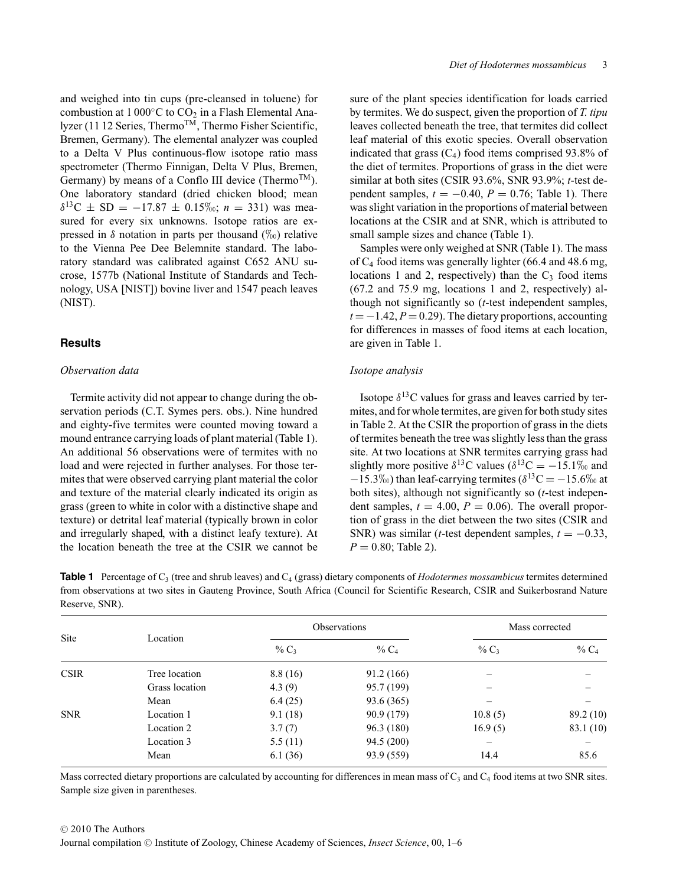and weighed into tin cups (pre-cleansed in toluene) for combustion at  $1000\degree C$  to  $CO<sub>2</sub>$  in a Flash Elemental Analyzer (11 12 Series, Thermo<sup>TM</sup>, Thermo Fisher Scientific, Bremen, Germany). The elemental analyzer was coupled to a Delta V Plus continuous-flow isotope ratio mass spectrometer (Thermo Finnigan, Delta V Plus, Bremen, Germany) by means of a Conflo III device (Thermo<sup>TM</sup>). One laboratory standard (dried chicken blood; mean  $\delta^{13}$ C ± SD = -17.87 ± 0.15‰; *n* = 331) was measured for every six unknowns. Isotope ratios are expressed in  $\delta$  notation in parts per thousand  $(\%_0)$  relative to the Vienna Pee Dee Belemnite standard. The laboratory standard was calibrated against C652 ANU sucrose, 1577b (National Institute of Standards and Technology, USA [NIST]) bovine liver and 1547 peach leaves (NIST).

#### **Results**

#### *Observation data*

Termite activity did not appear to change during the observation periods (C.T. Symes pers. obs.). Nine hundred and eighty-five termites were counted moving toward a mound entrance carrying loads of plant material (Table 1). An additional 56 observations were of termites with no load and were rejected in further analyses. For those termites that were observed carrying plant material the color and texture of the material clearly indicated its origin as grass (green to white in color with a distinctive shape and texture) or detrital leaf material (typically brown in color and irregularly shaped, with a distinct leafy texture). At the location beneath the tree at the CSIR we cannot be

sure of the plant species identification for loads carried by termites. We do suspect, given the proportion of *T. tipu* leaves collected beneath the tree, that termites did collect leaf material of this exotic species. Overall observation indicated that grass  $(C_4)$  food items comprised 93.8% of the diet of termites. Proportions of grass in the diet were similar at both sites (CSIR 93.6%, SNR 93.9%; *t*-test dependent samples,  $t = -0.40$ ,  $P = 0.76$ ; Table 1). There was slight variation in the proportions of material between locations at the CSIR and at SNR, which is attributed to small sample sizes and chance (Table 1).

Samples were only weighed at SNR (Table 1). The mass of C4 food items was generally lighter (66.4 and 48.6 mg, locations 1 and 2, respectively) than the  $C_3$  food items (67.2 and 75.9 mg, locations 1 and 2, respectively) although not significantly so (*t*-test independent samples,  $t = -1.42, P = 0.29$ . The dietary proportions, accounting for differences in masses of food items at each location, are given in Table 1.

#### *Isotope analysis*

Isotope  $\delta^{13}$ C values for grass and leaves carried by termites, and for whole termites, are given for both study sites in Table 2. At the CSIR the proportion of grass in the diets of termites beneath the tree was slightly less than the grass site. At two locations at SNR termites carrying grass had slightly more positive  $\delta^{13}$ C values  $(\delta^{13}C = -15.1\%$  and  $-15.3\%$ ) than leaf-carrying termites ( $\delta^{13}$ C =  $-15.6\%$  at both sites), although not significantly so (*t*-test independent samples,  $t = 4.00$ ,  $P = 0.06$ ). The overall proportion of grass in the diet between the two sites (CSIR and SNR) was similar (*t*-test dependent samples,  $t = -0.33$ ,  $P = 0.80$ ; Table 2).

**Table 1** Percentage of C<sub>3</sub> (tree and shrub leaves) and C<sub>4</sub> (grass) dietary components of *Hodotermes mossambicus* termites determined from observations at two sites in Gauteng Province, South Africa (Council for Scientific Research, CSIR and Suikerbosrand Nature Reserve, SNR).

| Site        | Location       | <b>Observations</b> |            | Mass corrected           |           |
|-------------|----------------|---------------------|------------|--------------------------|-----------|
|             |                | % $C_3$             | % $C_4$    | $\%$ C <sub>3</sub>      | % $C_4$   |
| <b>CSIR</b> | Tree location  | 8.8(16)             | 91.2(166)  |                          |           |
|             | Grass location | 4.3(9)              | 95.7 (199) |                          |           |
|             | Mean           | 6.4(25)             | 93.6 (365) |                          |           |
| <b>SNR</b>  | Location 1     | 9.1(18)             | 90.9 (179) | 10.8(5)                  | 89.2 (10) |
|             | Location 2     | 3.7(7)              | 96.3 (180) | 16.9(5)                  | 83.1 (10) |
|             | Location 3     | 5.5(11)             | 94.5(200)  | $\overline{\phantom{m}}$ |           |
|             | Mean           | 6.1(36)             | 93.9 (559) | 14.4                     | 85.6      |

Mass corrected dietary proportions are calculated by accounting for differences in mean mass of  $C_3$  and  $C_4$  food items at two SNR sites. Sample size given in parentheses.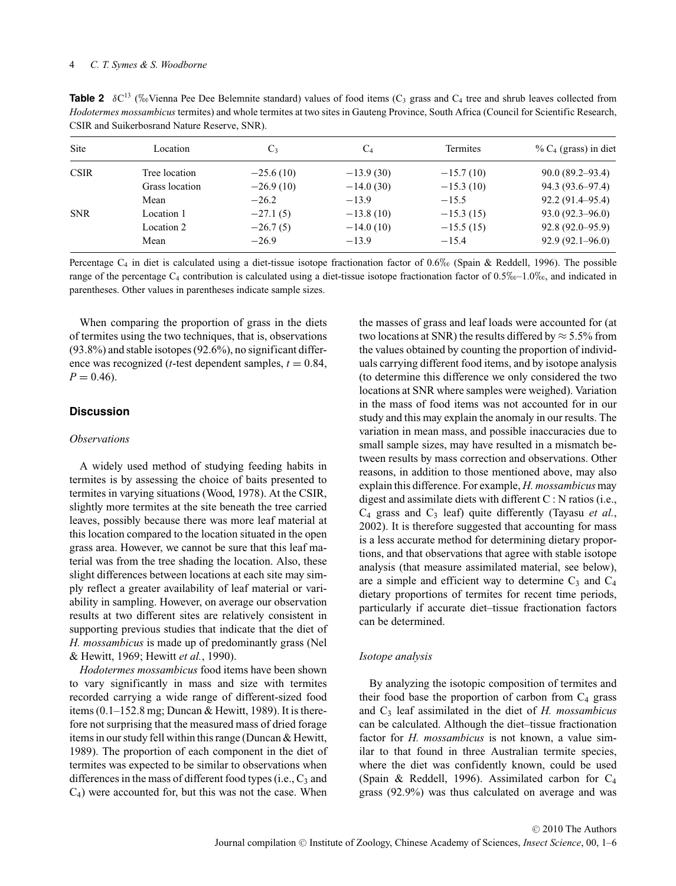**Table 2**  $\delta C^{13}$  (% Vienna Pee Dee Belemnite standard) values of food items (C<sub>3</sub> grass and C<sub>4</sub> tree and shrub leaves collected from *Hodotermes mossambicus* termites) and whole termites at two sites in Gauteng Province, South Africa (Council for Scientific Research, CSIR and Suikerbosrand Nature Reserve, SNR).

| Site        | Location       | $C_3$       | $C_4$       | Termites    | % $C_4$ (grass) in diet |
|-------------|----------------|-------------|-------------|-------------|-------------------------|
| <b>CSIR</b> | Tree location  | $-25.6(10)$ | $-13.9(30)$ | $-15.7(10)$ | $90.0(89.2 - 93.4)$     |
|             | Grass location | $-26.9(10)$ | $-14.0(30)$ | $-15.3(10)$ | 94.3 (93.6–97.4)        |
|             | Mean           | $-26.2$     | $-13.9$     | $-15.5$     | $92.2(91.4 - 95.4)$     |
| <b>SNR</b>  | Location 1     | $-27.1(5)$  | $-13.8(10)$ | $-15.3(15)$ | $93.0(92.3 - 96.0)$     |
|             | Location 2     | $-26.7(5)$  | $-14.0(10)$ | $-15.5(15)$ | $92.8(92.0 - 95.9)$     |
|             | Mean           | $-26.9$     | $-13.9$     | $-15.4$     | $92.9(92.1 - 96.0)$     |

Percentage  $C_4$  in diet is calculated using a diet-tissue isotope fractionation factor of 0.6‰ (Spain & Reddell, 1996). The possible range of the percentage  $C_4$  contribution is calculated using a diet-tissue isotope fractionation factor of  $0.5\%$ -1.0‰, and indicated in parentheses. Other values in parentheses indicate sample sizes.

When comparing the proportion of grass in the diets of termites using the two techniques, that is, observations (93.8%) and stable isotopes (92.6%), no significant difference was recognized ( $t$ -test dependent samples,  $t = 0.84$ ,  $P = 0.46$ .

#### **Discussion**

#### *Observations*

A widely used method of studying feeding habits in termites is by assessing the choice of baits presented to termites in varying situations (Wood, 1978). At the CSIR, slightly more termites at the site beneath the tree carried leaves, possibly because there was more leaf material at this location compared to the location situated in the open grass area. However, we cannot be sure that this leaf material was from the tree shading the location. Also, these slight differences between locations at each site may simply reflect a greater availability of leaf material or variability in sampling. However, on average our observation results at two different sites are relatively consistent in supporting previous studies that indicate that the diet of *H. mossambicus* is made up of predominantly grass (Nel & Hewitt, 1969; Hewitt *et al.*, 1990).

*Hodotermes mossambicus* food items have been shown to vary significantly in mass and size with termites recorded carrying a wide range of different-sized food items  $(0.1-152.8 \text{ mg}; \text{ Duncan} \& \text{Hewitt}, 1989)$ . It is therefore not surprising that the measured mass of dried forage items in our study fell within this range (Duncan & Hewitt, 1989). The proportion of each component in the diet of termites was expected to be similar to observations when differences in the mass of different food types (i.e.,  $C_3$  and  $C_4$ ) were accounted for, but this was not the case. When

the masses of grass and leaf loads were accounted for (at two locations at SNR) the results differed by  $\approx$  5.5% from the values obtained by counting the proportion of individuals carrying different food items, and by isotope analysis (to determine this difference we only considered the two locations at SNR where samples were weighed). Variation in the mass of food items was not accounted for in our study and this may explain the anomaly in our results. The variation in mean mass, and possible inaccuracies due to small sample sizes, may have resulted in a mismatch between results by mass correction and observations. Other reasons, in addition to those mentioned above, may also explain this difference. For example, *H. mossambicus* may digest and assimilate diets with different C : N ratios (i.e.,  $C_4$  grass and  $C_3$  leaf) quite differently (Tayasu *et al.*, 2002). It is therefore suggested that accounting for mass is a less accurate method for determining dietary proportions, and that observations that agree with stable isotope analysis (that measure assimilated material, see below), are a simple and efficient way to determine  $C_3$  and  $C_4$ dietary proportions of termites for recent time periods, particularly if accurate diet–tissue fractionation factors can be determined.

#### *Isotope analysis*

By analyzing the isotopic composition of termites and their food base the proportion of carbon from  $C_4$  grass and C3 leaf assimilated in the diet of *H. mossambicus* can be calculated. Although the diet–tissue fractionation factor for *H. mossambicus* is not known, a value similar to that found in three Australian termite species, where the diet was confidently known, could be used (Spain & Reddell, 1996). Assimilated carbon for  $C_4$ grass (92.9%) was thus calculated on average and was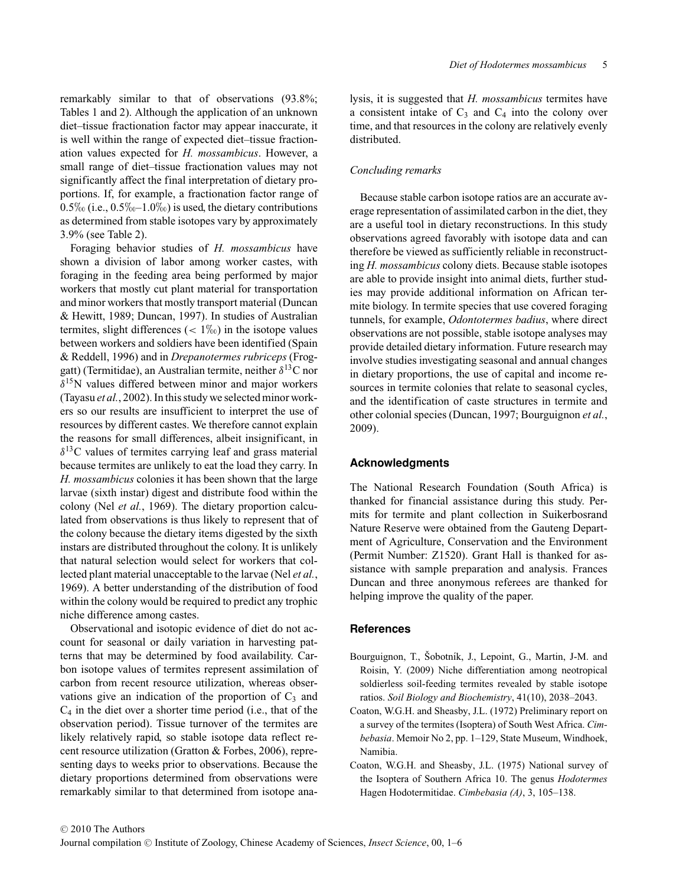remarkably similar to that of observations (93.8%; Tables 1 and 2). Although the application of an unknown diet–tissue fractionation factor may appear inaccurate, it is well within the range of expected diet–tissue fractionation values expected for *H. mossambicus*. However, a small range of diet–tissue fractionation values may not significantly affect the final interpretation of dietary proportions. If, for example, a fractionation factor range of  $0.5\%$  (i.e.,  $0.5\%$  –  $1.0\%$ ) is used, the dietary contributions as determined from stable isotopes vary by approximately 3.9% (see Table 2).

Foraging behavior studies of *H. mossambicus* have shown a division of labor among worker castes, with foraging in the feeding area being performed by major workers that mostly cut plant material for transportation and minor workers that mostly transport material (Duncan & Hewitt, 1989; Duncan, 1997). In studies of Australian termites, slight differences  $(< 1\%_0$ ) in the isotope values between workers and soldiers have been identified (Spain & Reddell, 1996) and in *Drepanotermes rubriceps* (Froggatt) (Termitidae), an Australian termite, neither  $\delta^{13}$ C nor  $\delta^{15}$ N values differed between minor and major workers (Tayasu *et al.*, 2002). In this study we selected minor workers so our results are insufficient to interpret the use of resources by different castes. We therefore cannot explain the reasons for small differences, albeit insignificant, in  $\delta^{13}$ C values of termites carrying leaf and grass material because termites are unlikely to eat the load they carry. In *H. mossambicus* colonies it has been shown that the large larvae (sixth instar) digest and distribute food within the colony (Nel *et al.*, 1969). The dietary proportion calculated from observations is thus likely to represent that of the colony because the dietary items digested by the sixth instars are distributed throughout the colony. It is unlikely that natural selection would select for workers that collected plant material unacceptable to the larvae (Nel *et al.*, 1969). A better understanding of the distribution of food within the colony would be required to predict any trophic niche difference among castes.

Observational and isotopic evidence of diet do not account for seasonal or daily variation in harvesting patterns that may be determined by food availability. Carbon isotope values of termites represent assimilation of carbon from recent resource utilization, whereas observations give an indication of the proportion of  $C_3$  and  $C_4$  in the diet over a shorter time period (i.e., that of the observation period). Tissue turnover of the termites are likely relatively rapid, so stable isotope data reflect recent resource utilization (Gratton & Forbes, 2006), representing days to weeks prior to observations. Because the dietary proportions determined from observations were remarkably similar to that determined from isotope analysis, it is suggested that *H. mossambicus* termites have a consistent intake of  $C_3$  and  $C_4$  into the colony over time, and that resources in the colony are relatively evenly distributed.

#### *Concluding remarks*

Because stable carbon isotope ratios are an accurate average representation of assimilated carbon in the diet, they are a useful tool in dietary reconstructions. In this study observations agreed favorably with isotope data and can therefore be viewed as sufficiently reliable in reconstructing *H. mossambicus* colony diets. Because stable isotopes are able to provide insight into animal diets, further studies may provide additional information on African termite biology. In termite species that use covered foraging tunnels, for example, *Odontotermes badius*, where direct observations are not possible, stable isotope analyses may provide detailed dietary information. Future research may involve studies investigating seasonal and annual changes in dietary proportions, the use of capital and income resources in termite colonies that relate to seasonal cycles, and the identification of caste structures in termite and other colonial species (Duncan, 1997; Bourguignon *et al.*, 2009).

#### **Acknowledgments**

The National Research Foundation (South Africa) is thanked for financial assistance during this study. Permits for termite and plant collection in Suikerbosrand Nature Reserve were obtained from the Gauteng Department of Agriculture, Conservation and the Environment (Permit Number: Z1520). Grant Hall is thanked for assistance with sample preparation and analysis. Frances Duncan and three anonymous referees are thanked for helping improve the quality of the paper.

#### **References**

- Bourguignon, T., Šobotník, J., Lepoint, G., Martin, J-M. and Roisin, Y. (2009) Niche differentiation among neotropical soldierless soil-feeding termites revealed by stable isotope ratios. *Soil Biology and Biochemistry*, 41(10), 2038–2043.
- Coaton, W.G.H. and Sheasby, J.L. (1972) Preliminary report on a survey of the termites (Isoptera) of South West Africa. *Cimbebasia*. Memoir No 2, pp. 1–129, State Museum, Windhoek, Namibia.
- Coaton, W.G.H. and Sheasby, J.L. (1975) National survey of the Isoptera of Southern Africa 10. The genus *Hodotermes* Hagen Hodotermitidae. *Cimbebasia (A)*, 3, 105–138.